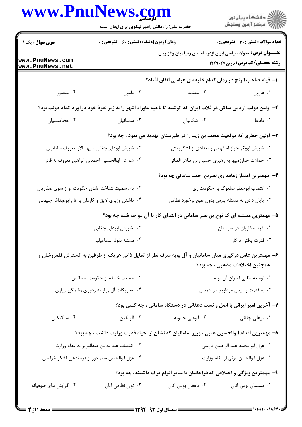| ر<br>اگر دانشگاه پيام نور<br>اگر مرکز آزمون وسنجش                                                                                         |                                                                                                                 | حضرت علی(ع): دانش راهبر نیکویی برای ایمان است |                                                       |  |
|-------------------------------------------------------------------------------------------------------------------------------------------|-----------------------------------------------------------------------------------------------------------------|-----------------------------------------------|-------------------------------------------------------|--|
| <b>تعداد سوالات : تستي : 30 ٪ تشريحي : 0</b>                                                                                              |                                                                                                                 | زمان آزمون (دقیقه) : تستی : 60 - تشریحی : 0   |                                                       |  |
| <b>عنـــوان درس:</b> تحولاتسیاسی ایران ازدوسامانیان ودیلمیان وغزنویان<br><b>رشته تحصیلی/کد درس:</b> تاریخ122912                           |                                                                                                                 |                                               | www.PnuNews.com<br>www.PnuNews.net                    |  |
|                                                                                                                                           | ا– قیام صاحب الزنج در زمان کدام خلیفه ی عباسی اتفاق افتاد؟                                                      |                                               |                                                       |  |
| ۰۱ هارون                                                                                                                                  | ۰۲ معتمد                                                                                                        | ۰۳ مامون                                      | ۰۴ منصور                                              |  |
|                                                                                                                                           | ۲– اولین دولت آریایی ساکن در فلات ایران که کوشید تا ناحیه ماوراء النهر را به زیر نفوذ خود درآورد کدام دولت بود؟ |                                               |                                                       |  |
| ۰۱ مادها                                                                                                                                  | ۰۲ اشکانیان                                                                                                     | ۰۳ ساسانیان                                   | ۰۴ هخامنشیان                                          |  |
| ۳- اولین خطری که موقعیت محمد بن زید را در طبرستان تهدید می نمود ، چه بود؟                                                                 |                                                                                                                 |                                               |                                                       |  |
| ٠١ شورش ابوبكر خباز اصفهاني و تعدادي از لشكريانش                                                                                          |                                                                                                                 |                                               | ۰۲ شورش ابوعلی چغانی سپهسالار معروف سامانیان          |  |
| ۰۳ حملات خوارزمیها به رهبری حسین بن طاهر الطائی                                                                                           |                                                                                                                 |                                               | ۰۴ شورش ابوالحسين احمدبن ابراهيم معروف به قائم        |  |
| ۴– مهمترین امتیاز زمامداری نصربن احمد سامانی چه بود؟                                                                                      |                                                                                                                 |                                               |                                                       |  |
| ۰۱ انتصاب ابوجعفر صلعوک به حکومت ری                                                                                                       |                                                                                                                 |                                               | ۰۲ به رسمیت شناخته شدن حکومت او از سوی صفاریان        |  |
| ۰۳ پایان دادن به مسئله پارس بدون هیچ برخورد نظامی                                                                                         |                                                                                                                 |                                               | ۰۴ داشتن وزیری لایق و کاردان به نام ابوعبدالله جیهانی |  |
|                                                                                                                                           | ۵– مهمترین مسئله ای که نوح بن نصر سامانی در ابتدای کار با آن مواجه شد، چه بود؟                                  |                                               |                                                       |  |
| ۰۱ نفوذ صفاریان در سیستان                                                                                                                 |                                                                                                                 | ۰۲ شورش ابوعلی چغانی                          |                                                       |  |
| ۰۳ قدرت يافتن تركان                                                                                                                       |                                                                                                                 | ۰۴ مسئله نفوذ اسماعيليان                      |                                                       |  |
| ۶– مهمترین عامل درگیری میان سامانیان و آل بویه صرف نظر از تمایل ذاتی هریک از طرفین به گسترش قلمروشان و<br>همچنین اختلافات مذهبی ، چه بود؟ |                                                                                                                 |                                               |                                                       |  |
| ٠١ توسعه طلبي اميران أل بويه                                                                                                              |                                                                                                                 | ۰۲ حمایت خلیفه از حکومت سامانیان              |                                                       |  |
| ۰۳ به قدرت رسیدن مرداویج در همدان                                                                                                         |                                                                                                                 | ۰۴ تحریکات آل زیار به رهبری وشمگیر زیاری      |                                                       |  |
| ۷- آخرین امیر ایرانی با اصل و نسب دهقانی در دستگاه سامانی ، چه کسی بود؟                                                                   |                                                                                                                 |                                               |                                                       |  |
| ۰۱ ابوعلی چغانی                                                                                                                           | ۰۲ ابوعلی حمویه                                                                                                 | ۰۳ آلپتکین                                    | ۰۴ سبکتکین                                            |  |
| ۸– مهمترین اقدام ابوالحسین عتبی ، وزیر سامانیان که نشان از احیاء قدرت وزارت داشت ، چه بود؟                                                |                                                                                                                 |                                               |                                                       |  |
| ٠١ عزل ابو محمد عبد الرحمن فارسي                                                                                                          |                                                                                                                 | ٢. انتصاب عبدالله بن عبدالعزيز به مقام وزارت  |                                                       |  |
| ٠٣ عزل ابوالحسن مزني از مقام وزارت                                                                                                        |                                                                                                                 |                                               | ۰۴ عزل ابوالحسن سيمجور از فرماندهي لشكر خراسان        |  |
|                                                                                                                                           | ۹- مهمترین ویژگی و اختلافی که قراخانیان با سایر اقوام ترک داشتند، چه بود؟                                       |                                               |                                                       |  |
| ٠١ مسلمان بودن أنان                                                                                                                       | ۰۲ دهقان بودن آنان                                                                                              | ۰۳ توان نظامی آنان                            | ۰۴ گرایش های صوفیانه                                  |  |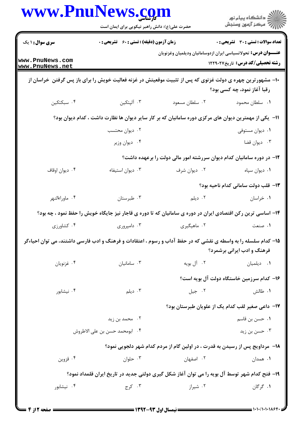|                                    | www.PnuNews.com<br>حضرت علی(ع): دانش راهبر نیکویی برای ایمان است                                           |                | ر<br>دانشڪاه پيام نور)<br>اڳ مرڪز آزمون وسنڊش                                                                                                |
|------------------------------------|------------------------------------------------------------------------------------------------------------|----------------|----------------------------------------------------------------------------------------------------------------------------------------------|
| <b>سری سوال : ۱ یک</b>             | <b>زمان آزمون (دقیقه) : تستی : 60 ٪ تشریحی : 0</b>                                                         |                | <b>تعداد سوالات : تستی : 30 ٪ تشریحی : 0</b>                                                                                                 |
| www.PnuNews.com<br>www.PnuNews.net |                                                                                                            |                | <b>عنــــوان درس :</b> تحولاتسیاسی ایران ازدوسامانیان ودیلمیان وغزنویان<br><b>رشته تحصیلی/کد درس:</b> تاریخ1۲۲۹۰۲۷                           |
|                                    | ۱۰− مشهورترین چهره ی دولت غزنوی که پس از تثبیت موقعیتش در غزنه فعالیت خویش را برای باز پس گرفتن  خراسان از |                | رقبا آغاز نمود، چه کسی بود؟                                                                                                                  |
| ۰۴ سبکتکین                         | ۰۳ آلپتکین                                                                                                 | ٠٢ سلطان مسعود | ٠١. سلطان محمود                                                                                                                              |
|                                    | 1۱– یکی از مهمترین دیوان های مرکزی دوره سامانیان که بر کار سایر دیوان ها نظارت داشت ، کدام دیوان بود؟      |                |                                                                                                                                              |
|                                    | ۰۲ دیوان محتسب                                                                                             |                | ۰۱ دیوان مستوفی                                                                                                                              |
|                                    | ۰۴ ديوان وزير                                                                                              |                | ۰۳ دیوان قضا                                                                                                                                 |
|                                    |                                                                                                            |                | ۱۲– در دوره سامانیان کدام دیوان سررشته امور مالی دولت را برعهده داشت؟                                                                        |
| ۰۴ ديوان اوقاف                     | ۰۳ دیوان استیفاء                                                                                           | ۰۲ دیوان شرف   | ٠١ ديوان سپاه                                                                                                                                |
|                                    |                                                                                                            |                | <b>۱۳</b> - قلب دولت سامانی کدام ناحیه بود؟                                                                                                  |
| ۰۴ ماوراءالنهر                     | ۰۳ طبرستان                                                                                                 | ۰۲ دیلم        | ۰۱ خراسان                                                                                                                                    |
|                                    |                                                                                                            |                | ۱۴– اساسی ترین رکن اقتصادی ایران در دوره ی سامانیان که تا دوره ی قاجار نیز جایگاه خویش را حفظ نمود ، چه بود؟                                 |
| ۰۴ کشاورزی                         | ۰۳ دامپروري                                                                                                | ۰۲ ماهیگیری    | ۰۱ صنعت                                                                                                                                      |
|                                    |                                                                                                            |                | ۱۵– کدام سلسله را به واسطه ی نقشی که در حفظ آداب و رسوم ، اعتقادات و فرهنگ و ادب فارسی داشتند، می توان احیاءگر<br>فرهنگ و ادب ایرانی برشمرد؟ |
| ۰۴ غزنويان                         | ۰۳ سامانیان                                                                                                | ۰۲ آل بويه     | ۰۱ دیلمیان                                                                                                                                   |
|                                    |                                                                                                            |                | ۱۶– کدام سرزمین خاستگاه دولت آل بویه است؟                                                                                                    |
| ۰۴ نیشابور                         | ۰۳ دیلم                                                                                                    | ۰۲ جيل         | ۰۱ طالش                                                                                                                                      |
|                                    |                                                                                                            |                | ۱۷−  داعی صغیر لقب کدام یک از علویان طبرستان بود؟                                                                                            |
|                                    | ۰۲ محمد بن زید                                                                                             |                | ۰۱ حسن بن قاسم                                                                                                                               |
|                                    | ۰۴ ابومحمد حسن بن علي الاطروش                                                                              |                | ۰۳ حسن بن زید                                                                                                                                |
|                                    |                                                                                                            |                | ۱۸- ً مرداویج پس از رسیدن به قدرت ، در اولین گام از مردم کدام شهر دلجویی نمود؟                                                               |
| ۰۴ قزوين                           | ۰۳ حلوان                                                                                                   | ۲. اصفهان      | ۰۱ همدان                                                                                                                                     |
|                                    |                                                                                                            |                | ۱۹– فتح کدام شهر توسط آل بویه را می توان آغاز شکل گیری دولتی جدید در تاریخ ایران قلمداد نمود؟                                                |
| ۰۴ نیشابور                         | ۰۳ کرج                                                                                                     | ۰۲ شیراز       | ۰۱ گرگان                                                                                                                                     |
|                                    |                                                                                                            |                |                                                                                                                                              |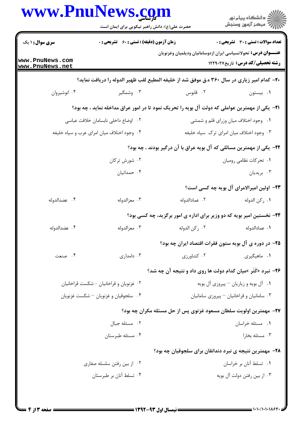|                                         | www.PnuNews.cg<br>حضرت علی(ع): دانش راهبر نیکویی برای ایمان است |                                                                                                 | د دانشڪاه پيام نور<br>ج⊤ مرڪز آزمون وسنڊش |  |  |
|-----------------------------------------|-----------------------------------------------------------------|-------------------------------------------------------------------------------------------------|-------------------------------------------|--|--|
| <b>سری سوال : ۱ یک</b>                  | <b>زمان آزمون (دقیقه) : تستی : 60 ٪ تشریحی : 0</b>              |                                                                                                 | تعداد سوالات : تستى : 30 قشريحى : 0       |  |  |
| www.PnuNews.com<br>www.PnuNews.net      |                                                                 | <b>عنــــوان درس :</b> تحولاتسیاسی ایران ازدوسامانیان ودیلمیان وغزنویان                         | <b>رشته تحصیلی/کد درس:</b> تاریخ ۱۲۲۹۰۲۷  |  |  |
|                                         |                                                                 | ۲۰- کدام امیر زیاری در سال ۳۶۰ ه.ق موفق شد از خلیفه المطیع لقب ظهیر الدوله را دریافت نماید؟     |                                           |  |  |
| ۰۴ انوشيروان                            | ۰۳ وشمگیر                                                       | ۰۲ قابوس                                                                                        | ۰۱ بیستون                                 |  |  |
|                                         |                                                                 | ۲۱−  یکی از مهمترین عواملی که دولت آل بویه را تحریک نمود تا در امور عراق مداخله نماید ، چه بود؟ |                                           |  |  |
|                                         | ٠٢ اوضاع داخلي نابسامان خلافت عباسي                             |                                                                                                 | ۰۱ وجود اختلاف میان وزرای قلم و شمشی      |  |  |
|                                         | ۰۴ وجود اختلاف میان امرای عرب و سپاه خلیفه                      | ۰۳ وجود اختلاف میان امرای ترک سپاه خلیفه                                                        |                                           |  |  |
|                                         |                                                                 | ۲۲- یکی از مهمترین مسائلی که آل بویه عراق با آن درگیر بودند ، چه بود؟                           |                                           |  |  |
|                                         | ۰۲ شورش ترکان                                                   |                                                                                                 | ۰۱ تحرکات نظامی رومیان                    |  |  |
|                                         | ۰۴ حمدانیان                                                     |                                                                                                 | ۰۳ بریدیان                                |  |  |
|                                         |                                                                 |                                                                                                 | ۲۳- اولین امیرالامرای آل بویه چه کسی است؟ |  |  |
| ۰۴ عضدالدوله                            | ۰۳ معزالدوله                                                    | ۰۲ عمادالدوله                                                                                   | ٠١ ركن الدوله                             |  |  |
|                                         |                                                                 | ۲۴- نخستین امیر بویه که دو وزیر برای اداره ی امور برگزید، چه کسی بود؟                           |                                           |  |  |
| ۰۴ عضدالدوله                            | ۰۳ معزالدوله                                                    | ٠٢ ركن الدوله                                                                                   | ٠١ عمادالدوله                             |  |  |
|                                         |                                                                 | ۲۵- در دوره ی آل بویه ستون فقرات اقتصاد ایران چه بود؟                                           |                                           |  |  |
| ۰۴ صنعت                                 | ۰۳ دامداری                                                      | ۰۲ کشاورزی                                                                                      | ۰۱ ماهیگیری                               |  |  |
|                                         |                                                                 | <b>۲۶</b> - نبرد «کَتَر »میان کدام دولت ها روی داد و نتیجه آن چه شد؟                            |                                           |  |  |
| ۰۲ غزنویان و قراخانیان - شکست قراخانیان |                                                                 | ۰۱ آل بویه و زیاریان – پیروزی آل بویه                                                           |                                           |  |  |
| ۰۴ سلجوقيان و غزنويان – شكست غزنويان    |                                                                 | ۰۳ سامانیان و قراخانیان - پیروزی سامانیان                                                       |                                           |  |  |
|                                         |                                                                 | ۲۷- مهمترین اولویت سلطان مسعود غزنوی پس از حل مسئله مکران چه بود؟                               |                                           |  |  |
|                                         | ۰۲ مسئله جبال                                                   | ٠١ مسئله خراسان                                                                                 |                                           |  |  |
| ۰۴ مسئله طبرستان                        |                                                                 |                                                                                                 | ۰۳ مسئله بخارا                            |  |  |
|                                         |                                                                 | ۲۸- مهمترین نتیجه ی نبرد دندانقان برای سلجوقیان چه بود؟                                         |                                           |  |  |
|                                         | ۰۲ از بین رفتن سلسله صفاری                                      |                                                                                                 | ٠١ تسلط آنان بر خراسان                    |  |  |
| ۰۴ تسلط آنان بر طبرستان                 |                                                                 |                                                                                                 | ۰۳ از بین رفتن دولت آل بویه               |  |  |